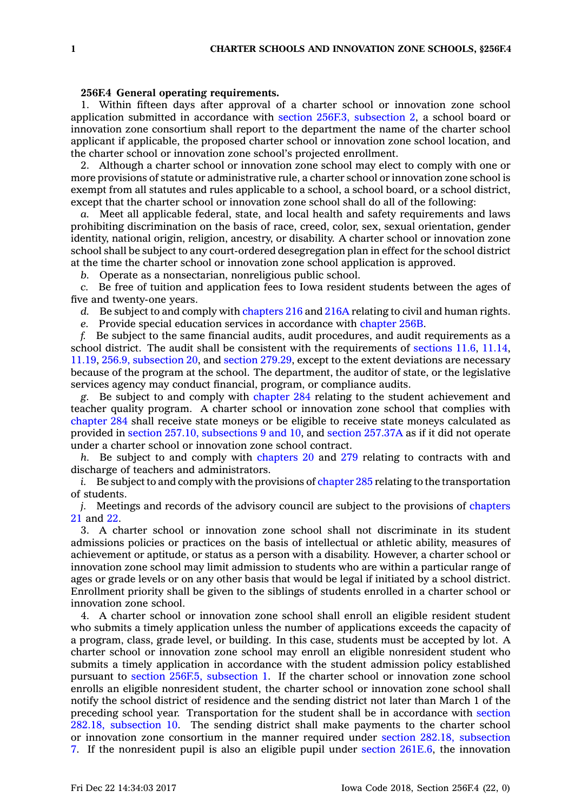## **256F.4 General operating requirements.**

1. Within fifteen days after approval of <sup>a</sup> charter school or innovation zone school application submitted in accordance with section 256F.3, [subsection](https://www.legis.iowa.gov/docs/code/256F.3.pdf) 2, <sup>a</sup> school board or innovation zone consortium shall report to the department the name of the charter school applicant if applicable, the proposed charter school or innovation zone school location, and the charter school or innovation zone school's projected enrollment.

2. Although <sup>a</sup> charter school or innovation zone school may elect to comply with one or more provisions of statute or administrative rule, <sup>a</sup> charter school or innovation zone school is exempt from all statutes and rules applicable to <sup>a</sup> school, <sup>a</sup> school board, or <sup>a</sup> school district, except that the charter school or innovation zone school shall do all of the following:

*a.* Meet all applicable federal, state, and local health and safety requirements and laws prohibiting discrimination on the basis of race, creed, color, sex, sexual orientation, gender identity, national origin, religion, ancestry, or disability. A charter school or innovation zone school shall be subject to any court-ordered desegregation plan in effect for the school district at the time the charter school or innovation zone school application is approved.

*b.* Operate as <sup>a</sup> nonsectarian, nonreligious public school.

*c.* Be free of tuition and application fees to Iowa resident students between the ages of five and twenty-one years.

*d.* Be subject to and comply with [chapters](https://www.legis.iowa.gov/docs/code//216.pdf) 216 and [216A](https://www.legis.iowa.gov/docs/code//216A.pdf) relating to civil and human rights.

*e.* Provide special education services in accordance with [chapter](https://www.legis.iowa.gov/docs/code//256B.pdf) 256B.

*f.* Be subject to the same financial audits, audit procedures, and audit requirements as <sup>a</sup> school district. The audit shall be consistent with the requirements of [sections](https://www.legis.iowa.gov/docs/code/11.6.pdf) 11.6, [11.14](https://www.legis.iowa.gov/docs/code/11.14.pdf), [11.19](https://www.legis.iowa.gov/docs/code/11.19.pdf), 256.9, [subsection](https://www.legis.iowa.gov/docs/code/256.9.pdf) 20, and section [279.29](https://www.legis.iowa.gov/docs/code/279.29.pdf), except to the extent deviations are necessary because of the program at the school. The department, the auditor of state, or the legislative services agency may conduct financial, program, or compliance audits.

*g.* Be subject to and comply with [chapter](https://www.legis.iowa.gov/docs/code//284.pdf) 284 relating to the student achievement and teacher quality program. A charter school or innovation zone school that complies with [chapter](https://www.legis.iowa.gov/docs/code//284.pdf) 284 shall receive state moneys or be eligible to receive state moneys calculated as provided in section 257.10, [subsections](https://www.legis.iowa.gov/docs/code/257.10.pdf) 9 and 10, and section [257.37A](https://www.legis.iowa.gov/docs/code/257.37A.pdf) as if it did not operate under <sup>a</sup> charter school or innovation zone school contract.

*h.* Be subject to and comply with [chapters](https://www.legis.iowa.gov/docs/code//20.pdf) 20 and [279](https://www.legis.iowa.gov/docs/code//279.pdf) relating to contracts with and discharge of teachers and administrators.

*i.* Be subject to and comply with the provisions of [chapter](https://www.legis.iowa.gov/docs/code//285.pdf) 285 relating to the transportation of students.

*j.* Meetings and records of the advisory council are subject to the provisions of [chapters](https://www.legis.iowa.gov/docs/code//21.pdf) [21](https://www.legis.iowa.gov/docs/code//21.pdf) and [22](https://www.legis.iowa.gov/docs/code//22.pdf).

3. A charter school or innovation zone school shall not discriminate in its student admissions policies or practices on the basis of intellectual or athletic ability, measures of achievement or aptitude, or status as <sup>a</sup> person with <sup>a</sup> disability. However, <sup>a</sup> charter school or innovation zone school may limit admission to students who are within <sup>a</sup> particular range of ages or grade levels or on any other basis that would be legal if initiated by <sup>a</sup> school district. Enrollment priority shall be given to the siblings of students enrolled in <sup>a</sup> charter school or innovation zone school.

4. A charter school or innovation zone school shall enroll an eligible resident student who submits <sup>a</sup> timely application unless the number of applications exceeds the capacity of <sup>a</sup> program, class, grade level, or building. In this case, students must be accepted by lot. A charter school or innovation zone school may enroll an eligible nonresident student who submits <sup>a</sup> timely application in accordance with the student admission policy established pursuant to section 256F.5, [subsection](https://www.legis.iowa.gov/docs/code/256F.5.pdf) 1. If the charter school or innovation zone school enrolls an eligible nonresident student, the charter school or innovation zone school shall notify the school district of residence and the sending district not later than March 1 of the preceding school year. Transportation for the student shall be in accordance with [section](https://www.legis.iowa.gov/docs/code/282.18.pdf) 282.18, [subsection](https://www.legis.iowa.gov/docs/code/282.18.pdf) 10. The sending district shall make payments to the charter school or innovation zone consortium in the manner required under section 282.18, [subsection](https://www.legis.iowa.gov/docs/code/282.18.pdf) [7](https://www.legis.iowa.gov/docs/code/282.18.pdf). If the nonresident pupil is also an eligible pupil under section [261E.6](https://www.legis.iowa.gov/docs/code/261E.6.pdf), the innovation